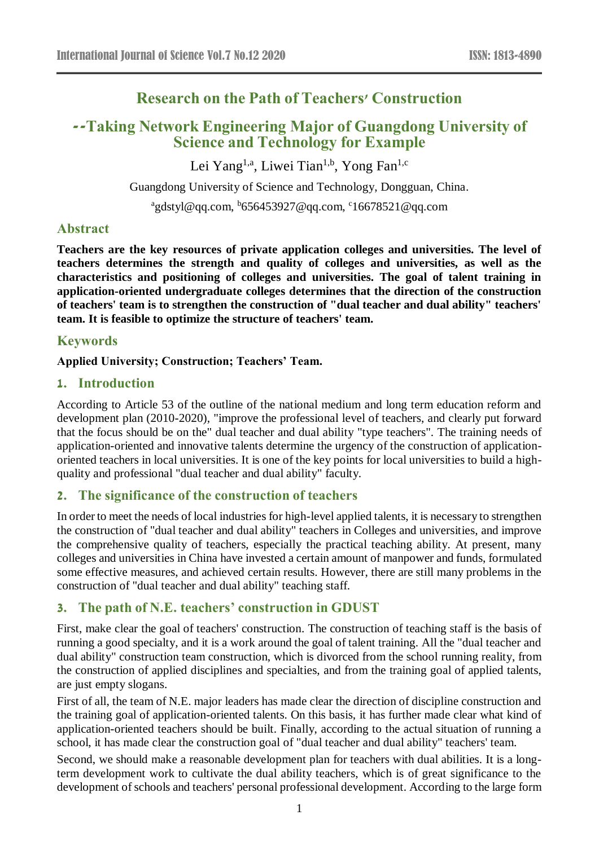# **Research on the Path of Teachers' Construction**

# **--Taking Network Engineering Major of Guangdong University of Science and Technology for Example**

Lei Yang<sup>1,a</sup>, Liwei Tian<sup>1,b</sup>, Yong Fan<sup>1,c</sup>

Guangdong University of Science and Technology, Dongguan, China.

<sup>a</sup>gdstyl@qq.com, <sup>b</sup>656453927@qq.com, <sup>c</sup>16678521@qq.com

### **Abstract**

**Teachers are the key resources of private application colleges and universities. The level of teachers determines the strength and quality of colleges and universities, as well as the characteristics and positioning of colleges and universities. The goal of talent training in application-oriented undergraduate colleges determines that the direction of the construction of teachers' team is to strengthen the construction of "dual teacher and dual ability" teachers' team. It is feasible to optimize the structure of teachers' team.**

### **Keywords**

### **Applied University; Construction; Teachers' Team.**

### **1. Introduction**

According to Article 53 of the outline of the national medium and long term education reform and development plan (2010-2020), "improve the professional level of teachers, and clearly put forward that the focus should be on the" dual teacher and dual ability "type teachers". The training needs of application-oriented and innovative talents determine the urgency of the construction of applicationoriented teachers in local universities. It is one of the key points for local universities to build a highquality and professional "dual teacher and dual ability" faculty.

### **2. The significance of the construction of teachers**

In order to meet the needs of local industries for high-level applied talents, it is necessary to strengthen the construction of "dual teacher and dual ability" teachers in Colleges and universities, and improve the comprehensive quality of teachers, especially the practical teaching ability. At present, many colleges and universities in China have invested a certain amount of manpower and funds, formulated some effective measures, and achieved certain results. However, there are still many problems in the construction of "dual teacher and dual ability" teaching staff.

### **3. The path of N.E. teachers' construction in GDUST**

First, make clear the goal of teachers' construction. The construction of teaching staff is the basis of running a good specialty, and it is a work around the goal of talent training. All the "dual teacher and dual ability" construction team construction, which is divorced from the school running reality, from the construction of applied disciplines and specialties, and from the training goal of applied talents, are just empty slogans.

First of all, the team of N.E. major leaders has made clear the direction of discipline construction and the training goal of application-oriented talents. On this basis, it has further made clear what kind of application-oriented teachers should be built. Finally, according to the actual situation of running a school, it has made clear the construction goal of "dual teacher and dual ability" teachers' team.

Second, we should make a reasonable development plan for teachers with dual abilities. It is a longterm development work to cultivate the dual ability teachers, which is of great significance to the development of schools and teachers' personal professional development. According to the large form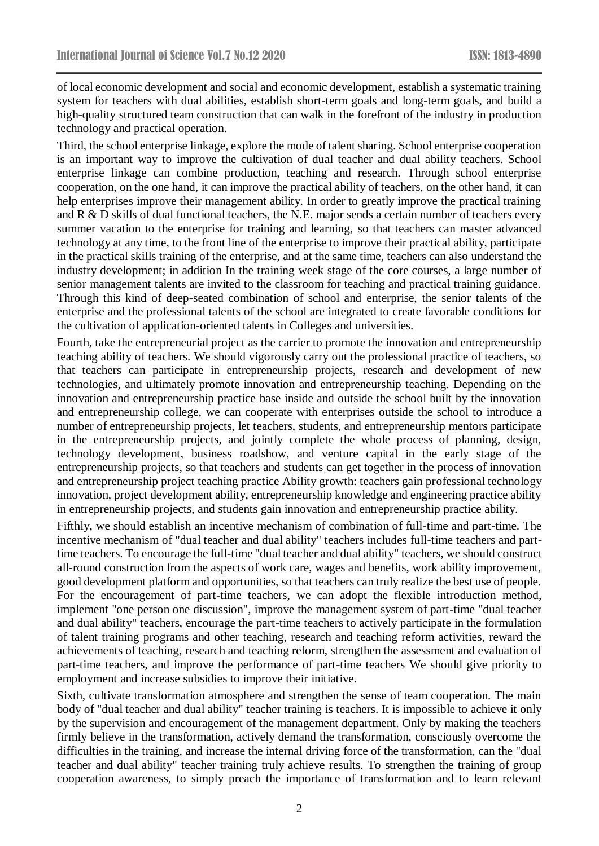of local economic development and social and economic development, establish a systematic training system for teachers with dual abilities, establish short-term goals and long-term goals, and build a high-quality structured team construction that can walk in the forefront of the industry in production technology and practical operation.

Third, the school enterprise linkage, explore the mode of talent sharing. School enterprise cooperation is an important way to improve the cultivation of dual teacher and dual ability teachers. School enterprise linkage can combine production, teaching and research. Through school enterprise cooperation, on the one hand, it can improve the practical ability of teachers, on the other hand, it can help enterprises improve their management ability. In order to greatly improve the practical training and R & D skills of dual functional teachers, the N.E. major sends a certain number of teachers every summer vacation to the enterprise for training and learning, so that teachers can master advanced technology at any time, to the front line of the enterprise to improve their practical ability, participate in the practical skills training of the enterprise, and at the same time, teachers can also understand the industry development; in addition In the training week stage of the core courses, a large number of senior management talents are invited to the classroom for teaching and practical training guidance. Through this kind of deep-seated combination of school and enterprise, the senior talents of the enterprise and the professional talents of the school are integrated to create favorable conditions for the cultivation of application-oriented talents in Colleges and universities.

Fourth, take the entrepreneurial project as the carrier to promote the innovation and entrepreneurship teaching ability of teachers. We should vigorously carry out the professional practice of teachers, so that teachers can participate in entrepreneurship projects, research and development of new technologies, and ultimately promote innovation and entrepreneurship teaching. Depending on the innovation and entrepreneurship practice base inside and outside the school built by the innovation and entrepreneurship college, we can cooperate with enterprises outside the school to introduce a number of entrepreneurship projects, let teachers, students, and entrepreneurship mentors participate in the entrepreneurship projects, and jointly complete the whole process of planning, design, technology development, business roadshow, and venture capital in the early stage of the entrepreneurship projects, so that teachers and students can get together in the process of innovation and entrepreneurship project teaching practice Ability growth: teachers gain professional technology innovation, project development ability, entrepreneurship knowledge and engineering practice ability in entrepreneurship projects, and students gain innovation and entrepreneurship practice ability.

Fifthly, we should establish an incentive mechanism of combination of full-time and part-time. The incentive mechanism of "dual teacher and dual ability" teachers includes full-time teachers and parttime teachers. To encourage the full-time "dual teacher and dual ability" teachers, we should construct all-round construction from the aspects of work care, wages and benefits, work ability improvement, good development platform and opportunities, so that teachers can truly realize the best use of people. For the encouragement of part-time teachers, we can adopt the flexible introduction method, implement "one person one discussion", improve the management system of part-time "dual teacher and dual ability" teachers, encourage the part-time teachers to actively participate in the formulation of talent training programs and other teaching, research and teaching reform activities, reward the achievements of teaching, research and teaching reform, strengthen the assessment and evaluation of part-time teachers, and improve the performance of part-time teachers We should give priority to employment and increase subsidies to improve their initiative.

Sixth, cultivate transformation atmosphere and strengthen the sense of team cooperation. The main body of "dual teacher and dual ability" teacher training is teachers. It is impossible to achieve it only by the supervision and encouragement of the management department. Only by making the teachers firmly believe in the transformation, actively demand the transformation, consciously overcome the difficulties in the training, and increase the internal driving force of the transformation, can the "dual teacher and dual ability" teacher training truly achieve results. To strengthen the training of group cooperation awareness, to simply preach the importance of transformation and to learn relevant